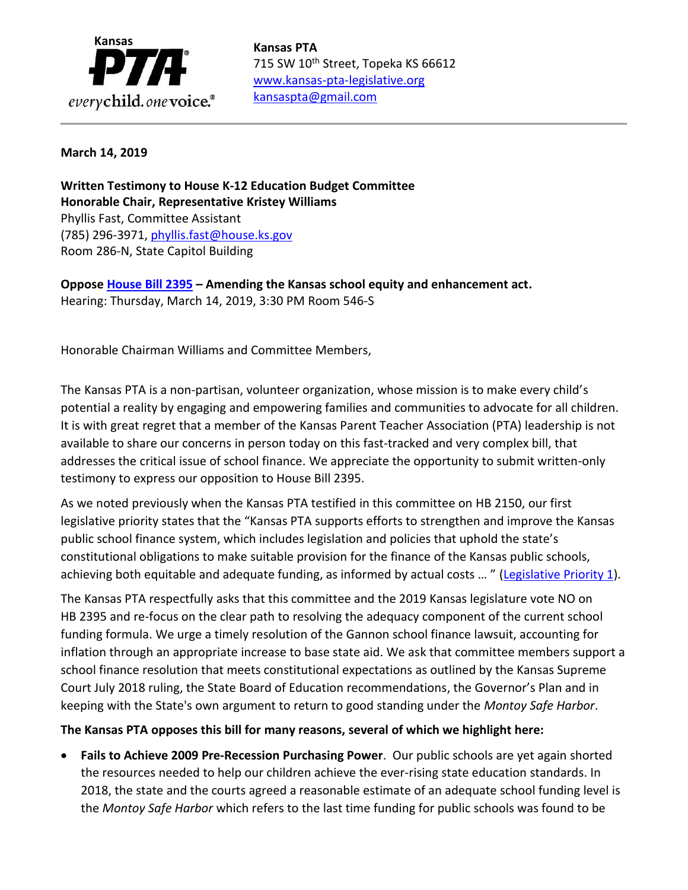

715 SW 10<sup>th</sup> Street, Topeka KS 66612 [www.kansas-pta-legislative.org](http://www.kansas-pta-legislative.org/)  [kansaspta@gmail.com](mailto:kansaspta@gmail.com)

## **March 14, 2019**

**Written Testimony to House K-12 Education Budget Committee Honorable Chair, Representative Kristey Williams** Phyllis Fast, Committee Assistant (785) 296-3971, [phyllis.fast@house.ks.gov](mailto:phyllis.fast@house.ks.gov) Room 286-N, State Capitol Building

**Oppose [House Bill 2395](http://kslegislature.org/li/b2019_20/measures/hb2395/) – Amending the Kansas school equity and enhancement act.** Hearing: Thursday, March 14, 2019, 3:30 PM Room 546-S

Honorable Chairman Williams and Committee Members,

The Kansas PTA is a non-partisan, volunteer organization, whose mission is to make every child's potential a reality by engaging and empowering families and communities to advocate for all children. It is with great regret that a member of the Kansas Parent Teacher Association (PTA) leadership is not available to share our concerns in person today on this fast-tracked and very complex bill, that addresses the critical issue of school finance. We appreciate the opportunity to submit written-only testimony to express our opposition to House Bill 2395.

As we noted previously when the Kansas PTA testified in this committee on HB 2150, our first legislative priority states that the "Kansas PTA supports efforts to strengthen and improve the Kansas public school finance system, which includes legislation and policies that uphold the state's constitutional obligations to make suitable provision for the finance of the Kansas public schools, achieving both equitable and adequate funding, as informed by actual costs ... " [\(Legislative Priority 1\)](http://www.kansas-pta-legislative.org/?q=legislative-priorities).

The Kansas PTA respectfully asks that this committee and the 2019 Kansas legislature vote NO on HB 2395 and re-focus on the clear path to resolving the adequacy component of the current school funding formula. We urge a timely resolution of the Gannon school finance lawsuit, accounting for inflation through an appropriate increase to base state aid. We ask that committee members support a school finance resolution that meets constitutional expectations as outlined by the Kansas Supreme Court July 2018 ruling, the State Board of Education recommendations, the Governor's Plan and in keeping with the State's own argument to return to good standing under the *Montoy Safe Harbor*.

**The Kansas PTA opposes this bill for many reasons, several of which we highlight here:**

• **Fails to Achieve 2009 Pre-Recession Purchasing Power**. Our public schools are yet again shorted the resources needed to help our children achieve the ever-rising state education standards. In 2018, the state and the courts agreed a reasonable estimate of an adequate school funding level is the *Montoy Safe Harbor* which refers to the last time funding for public schools was found to be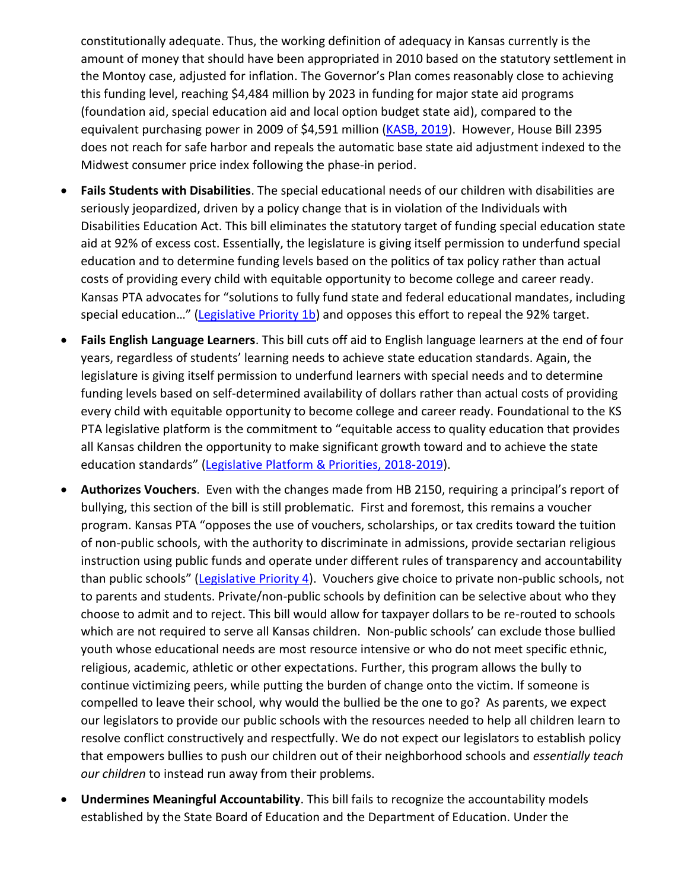constitutionally adequate. Thus, the working definition of adequacy in Kansas currently is the amount of money that should have been appropriated in 2010 based on the statutory settlement in the Montoy case, adjusted for inflation. The Governor's Plan comes reasonably close to achieving this funding level, reaching \$4,484 million by 2023 in funding for major state aid programs (foundation aid, special education aid and local option budget state aid), compared to the equivalent purchasing power in 2009 of \$4,591 million [\(KASB, 2019\)](https://kasb.org/blog/five-reasons-to-support-the-state-board-and-governors-school-finance-proposal-sb-44-and-hb-2978/). However, House Bill 2395 does not reach for safe harbor and repeals the automatic base state aid adjustment indexed to the Midwest consumer price index following the phase-in period.

- **Fails Students with Disabilities**. The special educational needs of our children with disabilities are seriously jeopardized, driven by a policy change that is in violation of the Individuals with Disabilities Education Act. This bill eliminates the statutory target of funding special education state aid at 92% of excess cost. Essentially, the legislature is giving itself permission to underfund special education and to determine funding levels based on the politics of tax policy rather than actual costs of providing every child with equitable opportunity to become college and career ready. Kansas PTA advocates for "solutions to fully fund state and federal educational mandates, including special education..." ([Legislative Priority 1b\)](http://www.kansas-pta-legislative.org/?q=legislative-priorities) and opposes this effort to repeal the 92% target.
- **Fails English Language Learners**. This bill cuts off aid to English language learners at the end of four years, regardless of students' learning needs to achieve state education standards. Again, the legislature is giving itself permission to underfund learners with special needs and to determine funding levels based on self-determined availability of dollars rather than actual costs of providing every child with equitable opportunity to become college and career ready. Foundational to the KS PTA legislative platform is the commitment to "equitable access to quality education that provides all Kansas children the opportunity to make significant growth toward and to achieve the state education standards" [\(Legislative Platform & Priorities, 2018-2019\)](http://www.kansas-pta-legislative.org/?q=legislative-priorities).
- **Authorizes Vouchers**. Even with the changes made from HB 2150, requiring a principal's report of bullying, this section of the bill is still problematic. First and foremost, this remains a voucher program. Kansas PTA "opposes the use of vouchers, scholarships, or tax credits toward the tuition of non-public schools, with the authority to discriminate in admissions, provide sectarian religious instruction using public funds and operate under different rules of transparency and accountability than public schools" ([Legislative Priority 4\)](http://www.kansas-pta-legislative.org/?q=legislative-priorities). Vouchers give choice to private non-public schools, not to parents and students. Private/non-public schools by definition can be selective about who they choose to admit and to reject. This bill would allow for taxpayer dollars to be re-routed to schools which are not required to serve all Kansas children. Non-public schools' can exclude those bullied youth whose educational needs are most resource intensive or who do not meet specific ethnic, religious, academic, athletic or other expectations. Further, this program allows the bully to continue victimizing peers, while putting the burden of change onto the victim. If someone is compelled to leave their school, why would the bullied be the one to go? As parents, we expect our legislators to provide our public schools with the resources needed to help all children learn to resolve conflict constructively and respectfully. We do not expect our legislators to establish policy that empowers bullies to push our children out of their neighborhood schools and *essentially teach our children* to instead run away from their problems.
- **Undermines Meaningful Accountability**. This bill fails to recognize the accountability models established by the State Board of Education and the Department of Education. Under the